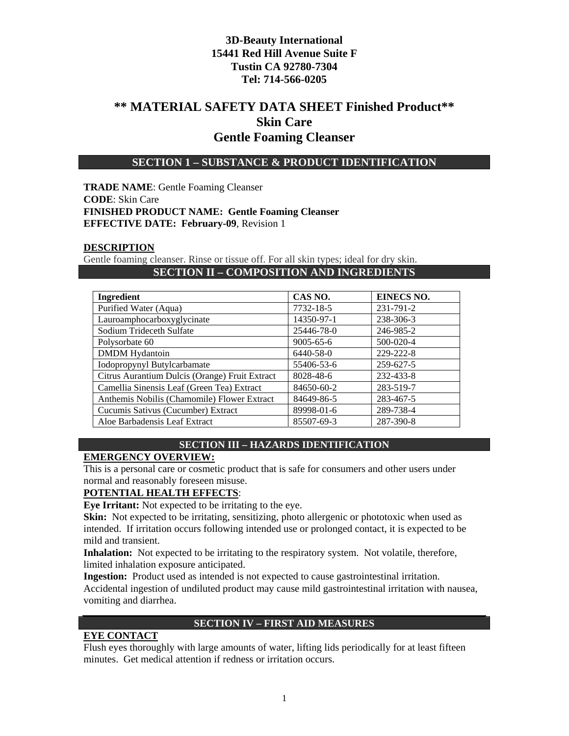# **\*\* MATERIAL SAFETY DATA SHEET Finished Product\*\* Skin Care Gentle Foaming Cleanser**

### **SECTION 1 – SUBSTANCE & PRODUCT IDENTIFICATION**

**TRADE NAME**: Gentle Foaming Cleanser **CODE**: Skin Care **FINISHED PRODUCT NAME: Gentle Foaming Cleanser EFFECTIVE DATE: February-09**, Revision 1

#### **DESCRIPTION**

Gentle foaming cleanser. Rinse or tissue off. For all skin types; ideal for dry skin. **SECTION II – COMPOSITION AND INGREDIENTS** 

| <b>Ingredient</b>                              | CAS NO.         | <b>EINECS NO.</b> |
|------------------------------------------------|-----------------|-------------------|
| Purified Water (Aqua)                          | 7732-18-5       | 231-791-2         |
| Lauroamphocarboxyglycinate                     | 14350-97-1      | 238-306-3         |
| Sodium Trideceth Sulfate                       | 25446-78-0      | 246-985-2         |
| Polysorbate 60                                 | $9005 - 65 - 6$ | 500-020-4         |
| <b>DMDM</b> Hydantoin                          | 6440-58-0       | 229-222-8         |
| Iodopropynyl Butylcarbamate                    | 55406-53-6      | 259-627-5         |
| Citrus Aurantium Dulcis (Orange) Fruit Extract | 8028-48-6       | 232-433-8         |
| Camellia Sinensis Leaf (Green Tea) Extract     | 84650-60-2      | 283-519-7         |
| Anthemis Nobilis (Chamomile) Flower Extract    | 84649-86-5      | 283-467-5         |
| Cucumis Sativus (Cucumber) Extract             | 89998-01-6      | 289-738-4         |
| Aloe Barbadensis Leaf Extract                  | 85507-69-3      | 287-390-8         |

#### **SECTION III – HAZARDS IDENTIFICATION**

#### **EMERGENCY OVERVIEW:**

This is a personal care or cosmetic product that is safe for consumers and other users under normal and reasonably foreseen misuse.

#### **POTENTIAL HEALTH EFFECTS**:

**Eye Irritant:** Not expected to be irritating to the eye.

**Skin:** Not expected to be irritating, sensitizing, photo allergenic or phototoxic when used as intended. If irritation occurs following intended use or prolonged contact, it is expected to be mild and transient.

**Inhalation:** Not expected to be irritating to the respiratory system. Not volatile, therefore, limited inhalation exposure anticipated.

**Ingestion:** Product used as intended is not expected to cause gastrointestinal irritation. Accidental ingestion of undiluted product may cause mild gastrointestinal irritation with nausea, vomiting and diarrhea.

#### **SECTION IV – FIRST AID MEASURES**

#### **EYE CONTACT**

Flush eyes thoroughly with large amounts of water, lifting lids periodically for at least fifteen minutes. Get medical attention if redness or irritation occurs.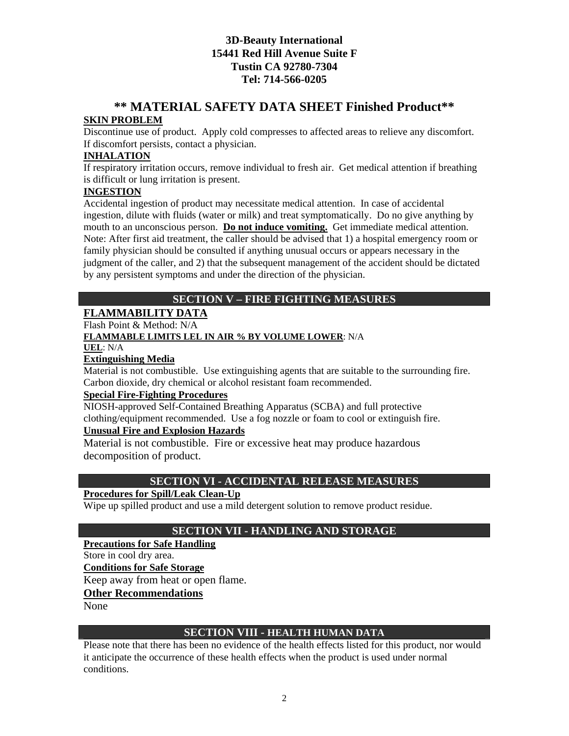# **\*\* MATERIAL SAFETY DATA SHEET Finished Product\*\***

### **SKIN PROBLEM**

Discontinue use of product. Apply cold compresses to affected areas to relieve any discomfort. If discomfort persists, contact a physician.

#### **INHALATION**

If respiratory irritation occurs, remove individual to fresh air. Get medical attention if breathing is difficult or lung irritation is present.

#### **INGESTION**

Accidental ingestion of product may necessitate medical attention. In case of accidental ingestion, dilute with fluids (water or milk) and treat symptomatically. Do no give anything by mouth to an unconscious person. **Do not induce vomiting.** Get immediate medical attention. Note: After first aid treatment, the caller should be advised that 1) a hospital emergency room or family physician should be consulted if anything unusual occurs or appears necessary in the judgment of the caller, and 2) that the subsequent management of the accident should be dictated by any persistent symptoms and under the direction of the physician.

# **SECTION V – FIRE FIGHTING MEASURES**

## **FLAMMABILITY DATA**

Flash Point & Method: N/A

### **FLAMMABLE LIMITS LEL IN AIR % BY VOLUME LOWER**: N/A

**UEL**: N/A

### **Extinguishing Media**

Material is not combustible. Use extinguishing agents that are suitable to the surrounding fire. Carbon dioxide, dry chemical or alcohol resistant foam recommended.

#### **Special Fire-Fighting Procedures**

NIOSH-approved Self-Contained Breathing Apparatus (SCBA) and full protective clothing/equipment recommended. Use a fog nozzle or foam to cool or extinguish fire.

### **Unusual Fire and Explosion Hazards**

Material is not combustible. Fire or excessive heat may produce hazardous decomposition of product.

## **SECTION VI - ACCIDENTAL RELEASE MEASURES**

### **Procedures for Spill/Leak Clean-Up**

Wipe up spilled product and use a mild detergent solution to remove product residue.

## **SECTION VII - HANDLING AND STORAGE**

#### **Precautions for Safe Handling**

Store in cool dry area.

**Conditions for Safe Storage**

Keep away from heat or open flame.

#### **Other Recommendations**

None

#### **SECTION VIII - HEALTH HUMAN DATA**

Please note that there has been no evidence of the health effects listed for this product, nor would it anticipate the occurrence of these health effects when the product is used under normal conditions.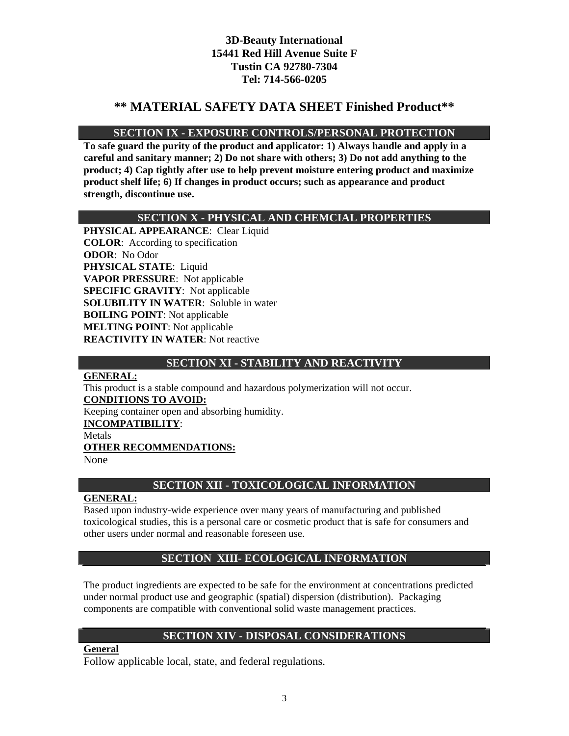# **\*\* MATERIAL SAFETY DATA SHEET Finished Product\*\***

## **SECTION IX - EXPOSURE CONTROLS/PERSONAL PROTECTION**

**To safe guard the purity of the product and applicator: 1) Always handle and apply in a careful and sanitary manner; 2) Do not share with others; 3) Do not add anything to the product; 4) Cap tightly after use to help prevent moisture entering product and maximize product shelf life; 6) If changes in product occurs; such as appearance and product strength, discontinue use.** 

## **SECTION X - PHYSICAL AND CHEMCIAL PROPERTIES**

**PHYSICAL APPEARANCE**: Clear Liquid **COLOR**: According to specification **ODOR**: No Odor **PHYSICAL STATE**: Liquid **VAPOR PRESSURE**: Not applicable **SPECIFIC GRAVITY**: Not applicable **SOLUBILITY IN WATER**: Soluble in water **BOILING POINT**: Not applicable **MELTING POINT**: Not applicable **REACTIVITY IN WATER**: Not reactive

## **SECTION XI - STABILITY AND REACTIVITY**

#### **GENERAL:**

This product is a stable compound and hazardous polymerization will not occur. **CONDITIONS TO AVOID:**

Keeping container open and absorbing humidity.

#### **INCOMPATIBILITY**:

Metals

#### **OTHER RECOMMENDATIONS:**

None

## **SECTION XII - TOXICOLOGICAL INFORMATION**

## **GENERAL:**

Based upon industry-wide experience over many years of manufacturing and published toxicological studies, this is a personal care or cosmetic product that is safe for consumers and other users under normal and reasonable foreseen use.

## **SECTION XIII- ECOLOGICAL INFORMATION**

The product ingredients are expected to be safe for the environment at concentrations predicted under normal product use and geographic (spatial) dispersion (distribution). Packaging components are compatible with conventional solid waste management practices.

## **SECTION XIV - DISPOSAL CONSIDERATIONS**

**General**

Follow applicable local, state, and federal regulations.